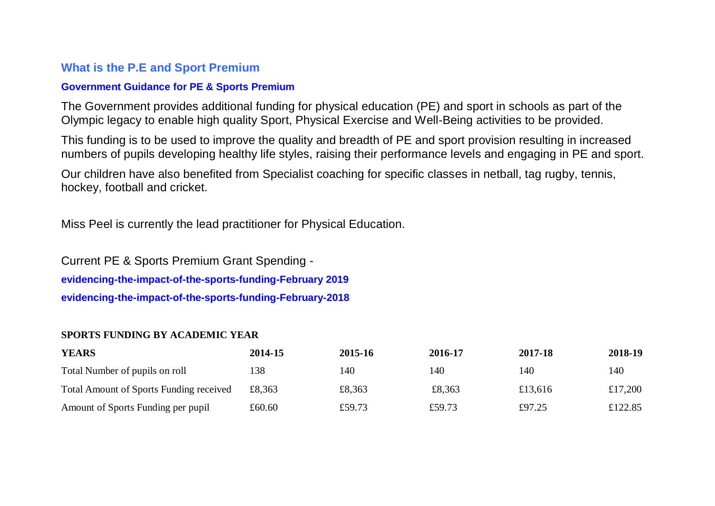### **What is the P.E and Sport Premium**

#### **[Government Guidance for PE & Sports Premium](https://www.gov.uk/guidance/pe-and-sport-premium-for-primary-schools)**

The Government provides additional funding for physical education (PE) and sport in schools as part of the Olympic legacy to enable high quality Sport, Physical Exercise and Well-Being activities to be provided.

This funding is to be used to improve the quality and breadth of PE and sport provision resulting in increased numbers of pupils developing healthy life styles, raising their performance levels and engaging in PE and sport.

Our children have also benefited from Specialist coaching for specific classes in netball, tag rugby, tennis, hockey, football and cricket.

Miss Peel is currently the lead practitioner for Physical Education.

Current PE & Sports Premium Grant Spending **evidencing-the-impact-of-the-sports-funding-February 2019 [evidencing-the-impact-of-the-sports-funding-February-2018](http://nelsonstphilip.sites.schooljotter2.com/downloadfile/10458526?open=true)**

#### **SPORTS FUNDING BY ACADEMIC YEAR**

| <b>YEARS</b>                                   | 2014-15 | 2015-16 | 2016-17 | 2017-18 | 2018-19 |
|------------------------------------------------|---------|---------|---------|---------|---------|
| Total Number of pupils on roll                 | 138     | 140     | 140     | 140     | 140     |
| <b>Total Amount of Sports Funding received</b> | £8.363  | £8,363  | £8,363  | £13,616 | £17,200 |
| Amount of Sports Funding per pupil             | £60.60  | £59.73  | £59.73  | £97.25  | £122.85 |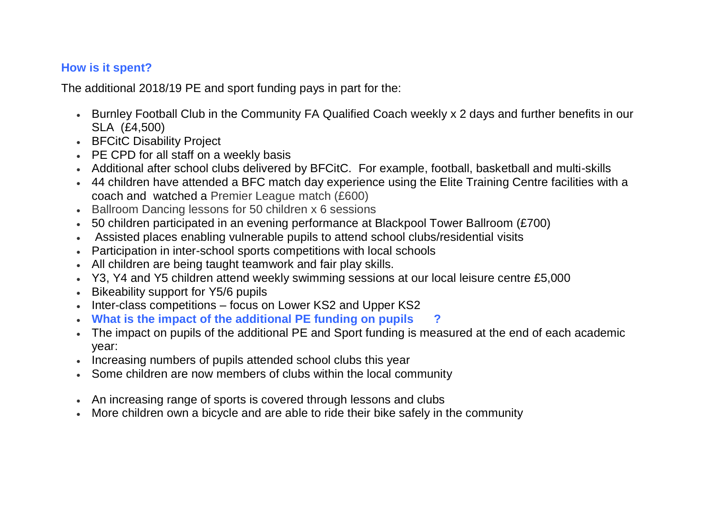## **How is it spent?**

The additional 2018/19 PE and sport funding pays in part for the:

- Burnley Football Club in the Community FA Qualified Coach weekly x 2 days and further benefits in our SLA (£4,500)
- BFCitC Disability Project
- PE CPD for all staff on a weekly basis
- Additional after school clubs delivered by BFCitC. For example, football, basketball and multi-skills
- 44 children have attended a BFC match day experience using the Elite Training Centre facilities with a coach and watched a Premier League match (£600)
- Ballroom Dancing lessons for 50 children x 6 sessions
- 50 children participated in an evening performance at Blackpool Tower Ballroom (£700)
- Assisted places enabling vulnerable pupils to attend school clubs/residential visits
- Participation in inter-school sports competitions with local schools
- All children are being taught teamwork and fair play skills.
- Y3, Y4 and Y5 children attend weekly swimming sessions at our local leisure centre £5,000
- **Bikeability support for Y5/6 pupils**
- Inter-class competitions focus on Lower KS2 and Upper KS2
- **What is the impact of the additional PE funding on pupils ?**
- The impact on pupils of the additional PE and Sport funding is measured at the end of each academic year:
- Increasing numbers of pupils attended school clubs this year
- Some children are now members of clubs within the local community
- An increasing range of sports is covered through lessons and clubs
- More children own a bicycle and are able to ride their bike safely in the community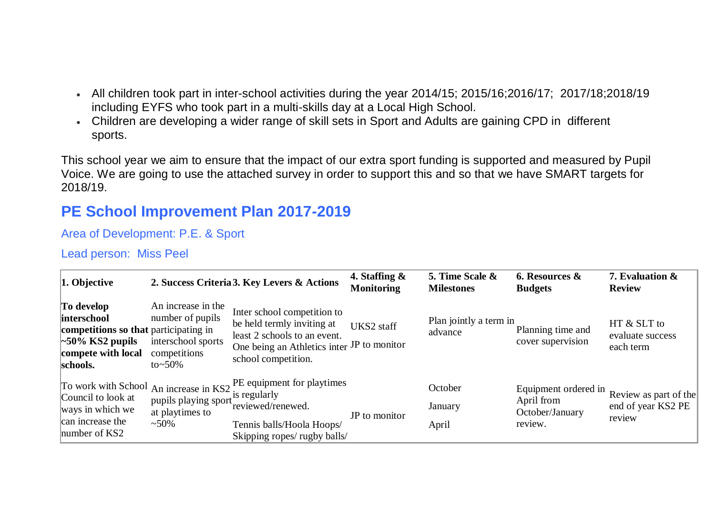- All children took part in inter-school activities during the year 2014/15; 2015/16;2016/17; 2017/18;2018/19 including EYFS who took part in a multi-skills day at a Local High School.
- Children are developing a wider range of skill sets in Sport and Adults are gaining CPD in different sports.

This school year we aim to ensure that the impact of our extra sport funding is supported and measured by Pupil Voice. We are going to use the attached survey in order to support this and so that we have SMART targets for 2018/19.

# **PE School Improvement Plan 2017-2019**

Area of Development: P.E. & Sport

Lead person: Miss Peel

| $\vert$ 1. Objective                                                                                                          |                                                                                                  | 2. Success Criteria 3. Key Levers & Actions                                                                                                                    | 4. Staffing $\&$<br><b>Monitoring</b> | 5. Time Scale &<br><b>Milestones</b> | 6. Resources &<br><b>Budgets</b>                                 | 7. Evaluation &<br><b>Review</b>                                  |
|-------------------------------------------------------------------------------------------------------------------------------|--------------------------------------------------------------------------------------------------|----------------------------------------------------------------------------------------------------------------------------------------------------------------|---------------------------------------|--------------------------------------|------------------------------------------------------------------|-------------------------------------------------------------------|
| To develop<br>interschool<br>competitions so that participating in<br>$\sim$ 50% KS2 pupils<br>compete with local<br>schools. | An increase in the<br>number of pupils<br>interschool sports<br>competitions<br>to $\approx$ 50% | Inter school competition to<br>be held termly inviting at<br>least 2 schools to an event.<br>One being an Athletics inter JP to monitor<br>school competition. | UKS2 staff                            | Plan jointly a term in<br>advance    | Planning time and<br>cover supervision                           | HT & SLT to<br>evaluate success<br>each term                      |
| Council to look at<br>ways in which we<br>can increase the<br>number of KS2                                                   | pupils playing sport is regularly<br>at playtimes to<br>$~1.50\%$                                | To work with School An increase in $KS2$ . PE equipment for playtimes<br>reviewed/renewed.<br>Tennis balls/Hoola Hoops/<br>Skipping ropes/rugby balls/         | JP to monitor                         | October<br>January<br>April          | Equipment ordered in<br>April from<br>October/January<br>review. | Review as part of the<br>end of year KS2 PE $\parallel$<br>review |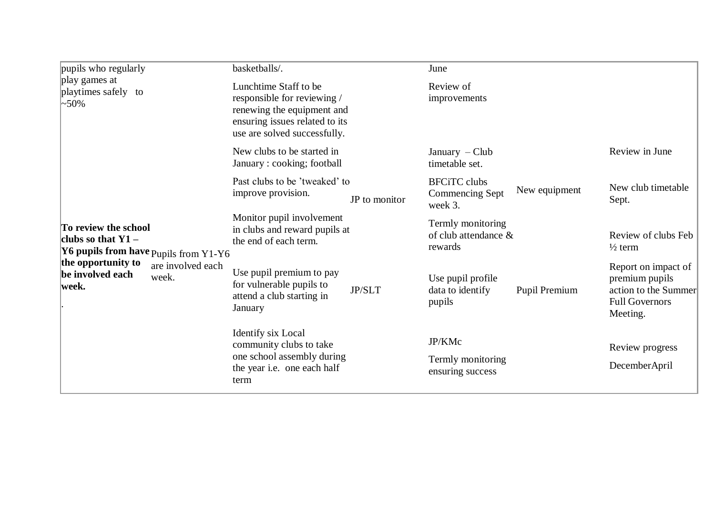| pupils who regularly<br>play games at<br>playtimes safely to<br>$\sim 50\%$<br>To review the school<br>clubs so that $Y1 -$<br><b>Y6 pupils from have Pupils from Y1-Y6</b><br>the opportunity to<br>be involved each<br> week. |                            | basketballs/.                                                                                                                                        |               | June                                                 |               |                                                                                                    |
|---------------------------------------------------------------------------------------------------------------------------------------------------------------------------------------------------------------------------------|----------------------------|------------------------------------------------------------------------------------------------------------------------------------------------------|---------------|------------------------------------------------------|---------------|----------------------------------------------------------------------------------------------------|
|                                                                                                                                                                                                                                 |                            | Lunchtime Staff to be<br>responsible for reviewing /<br>renewing the equipment and<br>ensuring issues related to its<br>use are solved successfully. |               | Review of<br>improvements                            |               |                                                                                                    |
|                                                                                                                                                                                                                                 |                            | New clubs to be started in<br>January: cooking; football                                                                                             |               | January $-Club$<br>timetable set.                    |               | Review in June                                                                                     |
|                                                                                                                                                                                                                                 | are involved each<br>week. | Past clubs to be 'tweaked' to<br>improve provision.                                                                                                  | JP to monitor | <b>BFCiTC</b> clubs<br>Commencing Sept<br>week 3.    | New equipment | New club timetable<br>Sept.                                                                        |
|                                                                                                                                                                                                                                 |                            | Monitor pupil involvement<br>in clubs and reward pupils at<br>the end of each term.                                                                  |               | Termly monitoring<br>of club attendance &<br>rewards |               | Review of clubs Feb<br>$\frac{1}{2}$ term                                                          |
|                                                                                                                                                                                                                                 |                            | Use pupil premium to pay<br>for vulnerable pupils to<br>attend a club starting in<br>January                                                         | <b>JP/SLT</b> | Use pupil profile<br>data to identify<br>pupils      | Pupil Premium | Report on impact of<br>premium pupils<br>action to the Summer<br><b>Full Governors</b><br>Meeting. |
|                                                                                                                                                                                                                                 |                            | Identify six Local<br>community clubs to take<br>one school assembly during<br>the year i.e. one each half<br>term                                   |               | JP/KMc<br>Termly monitoring<br>ensuring success      |               | Review progress<br>DecemberApril                                                                   |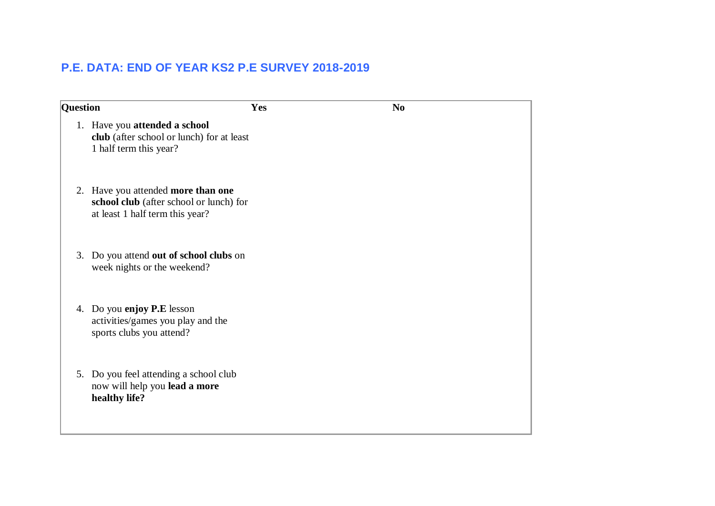## **P.E. DATA: END OF YEAR KS2 P.E SURVEY 2018-2019**

| <b>Question</b> |                                                                                                                  | Yes | N <sub>0</sub> |
|-----------------|------------------------------------------------------------------------------------------------------------------|-----|----------------|
|                 | 1. Have you attended a school<br>club (after school or lunch) for at least<br>1 half term this year?             |     |                |
|                 | 2. Have you attended more than one<br>school club (after school or lunch) for<br>at least 1 half term this year? |     |                |
| 3.              | Do you attend out of school clubs on<br>week nights or the weekend?                                              |     |                |
|                 | 4. Do you enjoy P.E lesson<br>activities/games you play and the<br>sports clubs you attend?                      |     |                |
|                 | 5. Do you feel attending a school club<br>now will help you lead a more<br>healthy life?                         |     |                |